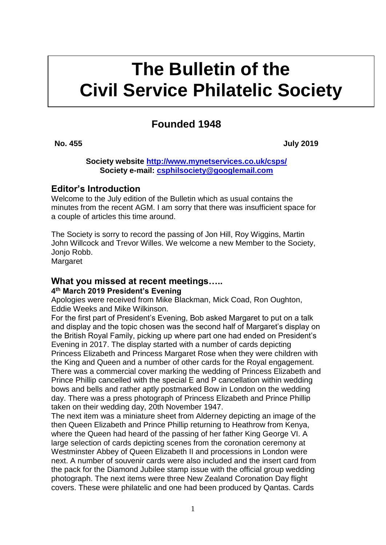# **kkkk The Bulletin of the Civil Service Philatelic Society**

# **Founded 1948**

**No. 455 July 2019** 

**Society website<http://www.mynetservices.co.uk/csps/> Society e-mail: [csphilsociety@googlemail.com](mailto:csphilsociety@googlemail.com)**

# **Editor's Introduction**

Welcome to the July edition of the Bulletin which as usual contains the minutes from the recent AGM. I am sorry that there was insufficient space for a couple of articles this time around.

The Society is sorry to record the passing of Jon Hill, Roy Wiggins, Martin John Willcock and Trevor Willes. We welcome a new Member to the Society, Jonjo Robb.

Margaret

# **What you missed at recent meetings…..**

#### **4 th March 2019 President's Evening**

Apologies were received from Mike Blackman, Mick Coad, Ron Oughton, Eddie Weeks and Mike Wilkinson.

For the first part of President's Evening, Bob asked Margaret to put on a talk and display and the topic chosen was the second half of Margaret's display on the British Royal Family, picking up where part one had ended on President's Evening in 2017. The display started with a number of cards depicting Princess Elizabeth and Princess Margaret Rose when they were children with the King and Queen and a number of other cards for the Royal engagement. There was a commercial cover marking the wedding of Princess Elizabeth and Prince Phillip cancelled with the special E and P cancellation within wedding bows and bells and rather aptly postmarked Bow in London on the wedding day. There was a press photograph of Princess Elizabeth and Prince Phillip taken on their wedding day, 20th November 1947.

The next item was a miniature sheet from Alderney depicting an image of the then Queen Elizabeth and Prince Phillip returning to Heathrow from Kenya, where the Queen had heard of the passing of her father King George VI. A large selection of cards depicting scenes from the coronation ceremony at Westminster Abbey of Queen Elizabeth II and processions in London were next. A number of souvenir cards were also included and the insert card from the pack for the Diamond Jubilee stamp issue with the official group wedding photograph. The next items were three New Zealand Coronation Day flight covers. These were philatelic and one had been produced by Qantas. Cards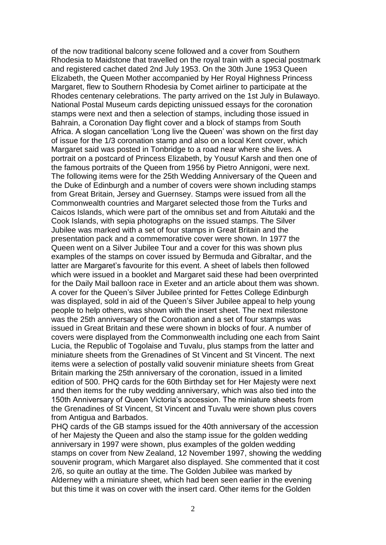of the now traditional balcony scene followed and a cover from Southern Rhodesia to Maidstone that travelled on the royal train with a special postmark and registered cachet dated 2nd July 1953. On the 30th June 1953 Queen Elizabeth, the Queen Mother accompanied by Her Royal Highness Princess Margaret, flew to Southern Rhodesia by Comet airliner to participate at the Rhodes centenary celebrations. The party arrived on the 1st July in Bulawayo. National Postal Museum cards depicting unissued essays for the coronation stamps were next and then a selection of stamps, including those issued in Bahrain, a Coronation Day flight cover and a block of stamps from South Africa. A slogan cancellation 'Long live the Queen' was shown on the first day of issue for the 1/3 coronation stamp and also on a local Kent cover, which Margaret said was posted in Tonbridge to a road near where she lives. A portrait on a postcard of Princess Elizabeth, by Yousuf Karsh and then one of the famous portraits of the Queen from 1956 by Pietro Annigoni, were next. The following items were for the 25th Wedding Anniversary of the Queen and the Duke of Edinburgh and a number of covers were shown including stamps from Great Britain, Jersey and Guernsey. Stamps were issued from all the Commonwealth countries and Margaret selected those from the Turks and Caicos Islands, which were part of the omnibus set and from Aitutaki and the Cook Islands, with sepia photographs on the issued stamps. The Silver Jubilee was marked with a set of four stamps in Great Britain and the presentation pack and a commemorative cover were shown. In 1977 the Queen went on a Silver Jubilee Tour and a cover for this was shown plus examples of the stamps on cover issued by Bermuda and Gibraltar, and the latter are Margaret's favourite for this event. A sheet of labels then followed which were issued in a booklet and Margaret said these had been overprinted for the Daily Mail balloon race in Exeter and an article about them was shown. A cover for the Queen's Silver Jubilee printed for Fettes College Edinburgh was displayed, sold in aid of the Queen's Silver Jubilee appeal to help young people to help others, was shown with the insert sheet. The next milestone was the 25th anniversary of the Coronation and a set of four stamps was issued in Great Britain and these were shown in blocks of four. A number of covers were displayed from the Commonwealth including one each from Saint Lucia, the Republic of Togolaise and Tuvalu, plus stamps from the latter and miniature sheets from the Grenadines of St Vincent and St Vincent. The next items were a selection of postally valid souvenir miniature sheets from Great Britain marking the 25th anniversary of the coronation, issued in a limited edition of 500. PHQ cards for the 60th Birthday set for Her Majesty were next and then items for the ruby wedding anniversary, which was also tied into the 150th Anniversary of Queen Victoria's accession. The miniature sheets from the Grenadines of St Vincent, St Vincent and Tuvalu were shown plus covers from Antigua and Barbados.

PHQ cards of the GB stamps issued for the 40th anniversary of the accession of her Majesty the Queen and also the stamp issue for the golden wedding anniversary in 1997 were shown, plus examples of the golden wedding stamps on cover from New Zealand, 12 November 1997, showing the wedding souvenir program, which Margaret also displayed. She commented that it cost 2/6, so quite an outlay at the time. The Golden Jubilee was marked by Alderney with a miniature sheet, which had been seen earlier in the evening but this time it was on cover with the insert card. Other items for the Golden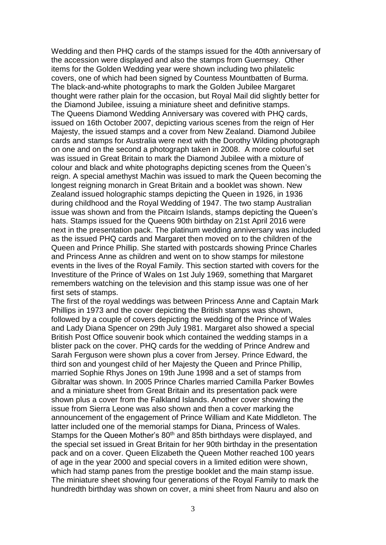Wedding and then PHQ cards of the stamps issued for the 40th anniversary of the accession were displayed and also the stamps from Guernsey. Other items for the Golden Wedding year were shown including two philatelic covers, one of which had been signed by Countess Mountbatten of Burma. The black-and-white photographs to mark the Golden Jubilee Margaret thought were rather plain for the occasion, but Royal Mail did slightly better for the Diamond Jubilee, issuing a miniature sheet and definitive stamps. The Queens Diamond Wedding Anniversary was covered with PHQ cards, issued on 16th October 2007, depicting various scenes from the reign of Her Majesty, the issued stamps and a cover from New Zealand. Diamond Jubilee cards and stamps for Australia were next with the Dorothy Wilding photograph on one and on the second a photograph taken in 2008. A more colourful set was issued in Great Britain to mark the Diamond Jubilee with a mixture of colour and black and white photographs depicting scenes from the Queen's reign. A special amethyst Machin was issued to mark the Queen becoming the longest reigning monarch in Great Britain and a booklet was shown. New Zealand issued holographic stamps depicting the Queen in 1926, in 1936 during childhood and the Royal Wedding of 1947. The two stamp Australian issue was shown and from the Pitcairn Islands, stamps depicting the Queen's hats. Stamps issued for the Queens 90th birthday on 21st April 2016 were next in the presentation pack. The platinum wedding anniversary was included as the issued PHQ cards and Margaret then moved on to the children of the Queen and Prince Phillip. She started with postcards showing Prince Charles and Princess Anne as children and went on to show stamps for milestone events in the lives of the Royal Family. This section started with covers for the Investiture of the Prince of Wales on 1st July 1969, something that Margaret remembers watching on the television and this stamp issue was one of her first sets of stamps.

The first of the royal weddings was between Princess Anne and Captain Mark Phillips in 1973 and the cover depicting the British stamps was shown, followed by a couple of covers depicting the wedding of the Prince of Wales and Lady Diana Spencer on 29th July 1981. Margaret also showed a special British Post Office souvenir book which contained the wedding stamps in a blister pack on the cover. PHQ cards for the wedding of Prince Andrew and Sarah Ferguson were shown plus a cover from Jersey. Prince Edward, the third son and youngest child of her Majesty the Queen and Prince Phillip, married Sophie Rhys Jones on 19th June 1998 and a set of stamps from Gibraltar was shown. In 2005 Prince Charles married Camilla Parker Bowles and a miniature sheet from Great Britain and its presentation pack were shown plus a cover from the Falkland Islands. Another cover showing the issue from Sierra Leone was also shown and then a cover marking the announcement of the engagement of Prince William and Kate Middleton. The latter included one of the memorial stamps for Diana, Princess of Wales. Stamps for the Queen Mother's 80<sup>th</sup> and 85th birthdays were displayed, and the special set issued in Great Britain for her 90th birthday in the presentation pack and on a cover. Queen Elizabeth the Queen Mother reached 100 years of age in the year 2000 and special covers in a limited edition were shown, which had stamp panes from the prestige booklet and the main stamp issue. The miniature sheet showing four generations of the Royal Family to mark the hundredth birthday was shown on cover, a mini sheet from Nauru and also on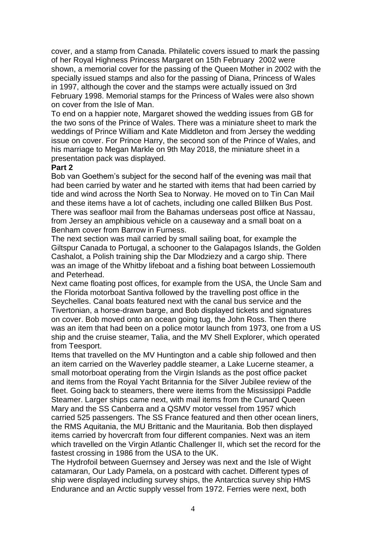cover, and a stamp from Canada. Philatelic covers issued to mark the passing of her Royal Highness Princess Margaret on 15th February 2002 were shown, a memorial cover for the passing of the Queen Mother in 2002 with the specially issued stamps and also for the passing of Diana, Princess of Wales in 1997, although the cover and the stamps were actually issued on 3rd February 1998. Memorial stamps for the Princess of Wales were also shown on cover from the Isle of Man.

To end on a happier note, Margaret showed the wedding issues from GB for the two sons of the Prince of Wales. There was a miniature sheet to mark the weddings of Prince William and Kate Middleton and from Jersey the wedding issue on cover. For Prince Harry, the second son of the Prince of Wales, and his marriage to Megan Markle on 9th May 2018, the miniature sheet in a presentation pack was displayed.

#### **Part 2**

Bob van Goethem's subject for the second half of the evening was mail that had been carried by water and he started with items that had been carried by tide and wind across the North Sea to Norway. He moved on to Tin Can Mail and these items have a lot of cachets, including one called Blilken Bus Post*.* There was seafloor mail from the Bahamas underseas post office at Nassau, from Jersey an amphibious vehicle on a causeway and a small boat on a Benham cover from Barrow in Furness.

The next section was mail carried by small sailing boat, for example the Giltspur Canada to Portugal, a schooner to the Galapagos Islands, the Golden Cashalot, a Polish training ship the Dar Mlodziezy and a cargo ship. There was an image of the Whitby lifeboat and a fishing boat between Lossiemouth and Peterhead.

Next came floating post offices, for example from the USA, the Uncle Sam and the Florida motorboat Santiva followed by the travelling post office in the Seychelles. Canal boats featured next with the canal bus service and the Tivertonian, a horse-drawn barge, and Bob displayed tickets and signatures on cover. Bob moved onto an ocean going tug, the John Ross. Then there was an item that had been on a police motor launch from 1973, one from a US ship and the cruise steamer, Talia, and the MV Shell Explorer, which operated from Teesport.

Items that travelled on the MV Huntington and a cable ship followed and then an item carried on the Waverley paddle steamer, a Lake Lucerne steamer, a small motorboat operating from the Virgin Islands as the post office packet and items from the Royal Yacht Britannia for the Silver Jubilee review of the fleet. Going back to steamers, there were items from the Mississippi Paddle Steamer. Larger ships came next, with mail items from the Cunard Queen Mary and the SS Canberra and a QSMV motor vessel from 1957 which carried 525 passengers. The SS France featured and then other ocean liners, the RMS Aquitania, the MU Brittanic and the Mauritania. Bob then displayed items carried by hovercraft from four different companies. Next was an item which travelled on the Virgin Atlantic Challenger II, which set the record for the fastest crossing in 1986 from the USA to the UK.

The Hydrofoil between Guernsey and Jersey was next and the Isle of Wight catamaran, Our Lady Pamela, on a postcard with cachet. Different types of ship were displayed including survey ships, the Antarctica survey ship HMS Endurance and an Arctic supply vessel from 1972. Ferries were next, both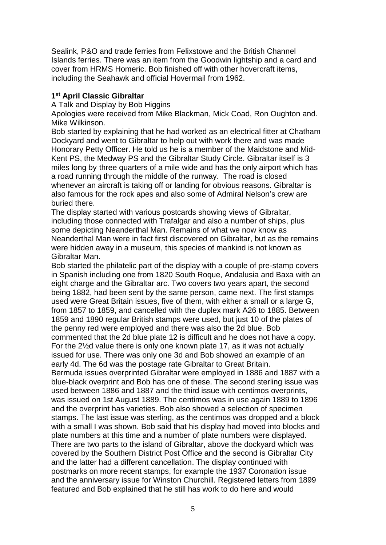Sealink, P&O and trade ferries from Felixstowe and the British Channel Islands ferries. There was an item from the Goodwin lightship and a card and cover from HRMS Homeric. Bob finished off with other hovercraft items, including the Seahawk and official Hovermail from 1962.

#### **1 st April Classic Gibraltar**

A Talk and Display by Bob Higgins

Apologies were received from Mike Blackman, Mick Coad, Ron Oughton and. Mike Wilkinson.

Bob started by explaining that he had worked as an electrical fitter at Chatham Dockyard and went to Gibraltar to help out with work there and was made Honorary Petty Officer. He told us he is a member of the Maidstone and Mid-Kent PS, the Medway PS and the Gibraltar Study Circle. Gibraltar itself is 3 miles long by three quarters of a mile wide and has the only airport which has a road running through the middle of the runway. The road is closed whenever an aircraft is taking off or landing for obvious reasons. Gibraltar is also famous for the rock apes and also some of Admiral Nelson's crew are buried there.

The display started with various postcards showing views of Gibraltar, including those connected with Trafalgar and also a number of ships, plus some depicting Neanderthal Man. Remains of what we now know as Neanderthal Man were in fact first discovered on Gibraltar, but as the remains were hidden away in a museum, this species of mankind is not known as Gibraltar Man.

Bob started the philatelic part of the display with a couple of pre-stamp covers in Spanish including one from 1820 South Roque, Andalusia and Baxa with an eight charge and the Gibraltar arc. Two covers two years apart, the second being 1882, had been sent by the same person, came next. The first stamps used were Great Britain issues, five of them, with either a small or a large G, from 1857 to 1859, and cancelled with the duplex mark A26 to 1885. Between 1859 and 1890 regular British stamps were used, but just 10 of the plates of the penny red were employed and there was also the 2d blue. Bob commented that the 2d blue plate 12 is difficult and he does not have a copy. For the 2½d value there is only one known plate 17, as it was not actually issued for use. There was only one 3d and Bob showed an example of an early 4d. The 6d was the postage rate Gibraltar to Great Britain. Bermuda issues overprinted Gibraltar were employed in 1886 and 1887 with a blue-black overprint and Bob has one of these. The second sterling issue was used between 1886 and 1887 and the third issue with centimos overprints, was issued on 1st August 1889. The centimos was in use again 1889 to 1896 and the overprint has varieties. Bob also showed a selection of specimen stamps. The last issue was sterling, as the centimos was dropped and a block with a small I was shown. Bob said that his display had moved into blocks and plate numbers at this time and a number of plate numbers were displayed. There are two parts to the island of Gibraltar, above the dockyard which was covered by the Southern District Post Office and the second is Gibraltar City and the latter had a different cancellation. The display continued with postmarks on more recent stamps, for example the 1937 Coronation issue and the anniversary issue for Winston Churchill. Registered letters from 1899 featured and Bob explained that he still has work to do here and would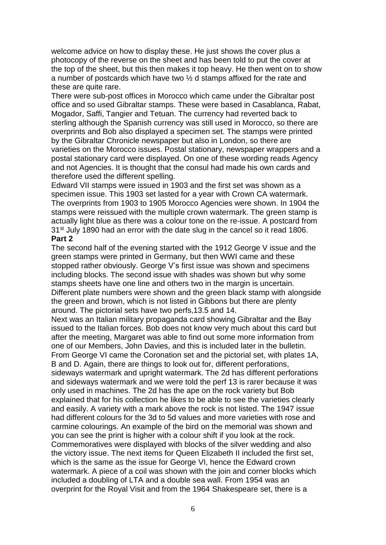welcome advice on how to display these. He just shows the cover plus a photocopy of the reverse on the sheet and has been told to put the cover at the top of the sheet, but this then makes it top heavy. He then went on to show a number of postcards which have two ½ d stamps affixed for the rate and these are quite rare.

There were sub-post offices in Morocco which came under the Gibraltar post office and so used Gibraltar stamps. These were based in Casablanca, Rabat, Mogador, Saffi, Tangier and Tetuan. The currency had reverted back to sterling although the Spanish currency was still used in Morocco, so there are overprints and Bob also displayed a specimen set. The stamps were printed by the Gibraltar Chronicle newspaper but also in London, so there are varieties on the Morocco issues. Postal stationary, newspaper wrappers and a postal stationary card were displayed. On one of these wording reads Agency and not Agencies. It is thought that the consul had made his own cards and therefore used the different spelling.

Edward VII stamps were issued in 1903 and the first set was shown as a specimen issue. This 1903 set lasted for a year with Crown CA watermark. The overprints from 1903 to 1905 Morocco Agencies were shown. In 1904 the stamps were reissued with the multiple crown watermark. The green stamp is actually light blue as there was a colour tone on the re-issue. A postcard from 31<sup>st</sup> July 1890 had an error with the date slug in the cancel so it read 1806.

#### **Part 2**

The second half of the evening started with the 1912 George V issue and the green stamps were printed in Germany, but then WWI came and these stopped rather obviously. George V's first issue was shown and specimens including blocks. The second issue with shades was shown but why some stamps sheets have one line and others two in the margin is uncertain. Different plate numbers were shown and the green black stamp with alongside the green and brown, which is not listed in Gibbons but there are plenty around. The pictorial sets have two perfs,13.5 and 14.

Next was an Italian military propaganda card showing Gibraltar and the Bay issued to the Italian forces. Bob does not know very much about this card but after the meeting, Margaret was able to find out some more information from one of our Members, John Davies, and this is included later in the bulletin. From George VI came the Coronation set and the pictorial set, with plates 1A, B and D. Again, there are things to look out for, different perforations, sideways watermark and upright watermark. The 2d has different perforations and sideways watermark and we were told the perf 13 is rarer because it was only used in machines. The 2d has the ape on the rock variety but Bob explained that for his collection he likes to be able to see the varieties clearly and easily. A variety with a mark above the rock is not listed. The 1947 issue had different colours for the 3d to 5d values and more varieties with rose and carmine colourings. An example of the bird on the memorial was shown and you can see the print is higher with a colour shift if you look at the rock. Commemoratives were displayed with blocks of the silver wedding and also the victory issue. The next items for Queen Elizabeth II included the first set, which is the same as the issue for George VI, hence the Edward crown watermark. A piece of a coil was shown with the join and corner blocks which included a doubling of LTA and a double sea wall. From 1954 was an overprint for the Royal Visit and from the 1964 Shakespeare set, there is a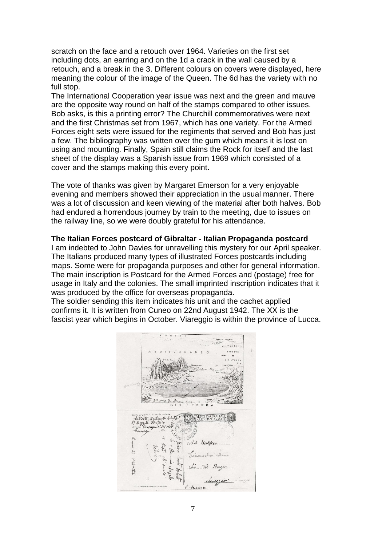scratch on the face and a retouch over 1964. Varieties on the first set including dots, an earring and on the 1d a crack in the wall caused by a retouch, and a break in the 3. Different colours on covers were displayed, here meaning the colour of the image of the Queen. The 6d has the variety with no full stop.

The International Cooperation year issue was next and the green and mauve are the opposite way round on half of the stamps compared to other issues. Bob asks, is this a printing error? The Churchill commemoratives were next and the first Christmas set from 1967, which has one variety. For the Armed Forces eight sets were issued for the regiments that served and Bob has just a few. The bibliography was written over the gum which means it is lost on using and mounting. Finally, Spain still claims the Rock for itself and the last sheet of the display was a Spanish issue from 1969 which consisted of a cover and the stamps making this every point.

The vote of thanks was given by Margaret Emerson for a very enjoyable evening and members showed their appreciation in the usual manner. There was a lot of discussion and keen viewing of the material after both halves. Bob had endured a horrendous journey by train to the meeting, due to issues on the railway line, so we were doubly grateful for his attendance.

#### **The Italian Forces postcard of Gibraltar - Italian Propaganda postcard**

I am indebted to John Davies for unravelling this mystery for our April speaker. The Italians produced many types of illustrated Forces postcards including maps. Some were for propaganda purposes and other for general information. The main inscription is Postcard for the Armed Forces and (postage) free for usage in Italy and the colonies. The small imprinted inscription indicates that it was produced by the office for overseas propaganda.

The soldier sending this item indicates his unit and the cachet applied confirms it. It is written from Cuneo on 22nd August 1942. The XX is the fascist year which begins in October. Viareggio is within the province of Lucca.

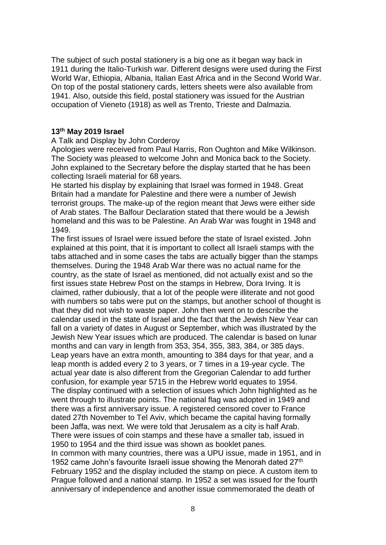The subject of such postal stationery is a big one as it began way back in 1911 during the Italio-Turkish war. Different designs were used during the First World War, Ethiopia, Albania, Italian East Africa and in the Second World War. On top of the postal stationery cards, letters sheets were also available from 1941. Also, outside this field, postal stationery was issued for the Austrian occupation of Vieneto (1918) as well as Trento, Trieste and Dalmazia.

#### **13th May 2019 Israel**

#### A Talk and Display by John Corderoy

Apologies were received from Paul Harris, Ron Oughton and Mike Wilkinson. The Society was pleased to welcome John and Monica back to the Society. John explained to the Secretary before the display started that he has been collecting Israeli material for 68 years.

He started his display by explaining that Israel was formed in 1948. Great Britain had a mandate for Palestine and there were a number of Jewish terrorist groups. The make-up of the region meant that Jews were either side of Arab states. The Balfour Declaration stated that there would be a Jewish homeland and this was to be Palestine. An Arab War was fought in 1948 and 1949.

The first issues of Israel were issued before the state of Israel existed. John explained at this point, that it is important to collect all Israeli stamps with the tabs attached and in some cases the tabs are actually bigger than the stamps themselves. During the 1948 Arab War there was no actual name for the country, as the state of Israel as mentioned, did not actually exist and so the first issues state Hebrew Post on the stamps in Hebrew, Dora Irving. It is claimed, rather dubiously, that a lot of the people were illiterate and not good with numbers so tabs were put on the stamps, but another school of thought is that they did not wish to waste paper. John then went on to describe the calendar used in the state of Israel and the fact that the Jewish New Year can fall on a variety of dates in August or September, which was illustrated by the Jewish New Year issues which are produced. The calendar is based on lunar months and can vary in length from 353, 354, 355, 383, 384, or 385 days. [Leap years](https://www.timeanddate.com/date/jewish-leap-year.html) have an extra month, amounting to 384 days for that year, and a leap month is added every 2 to 3 years, or 7 times in a 19-year cycle. The actual year date is also different from the Gregorian Calendar to add further confusion, for example year 5715 in the Hebrew world equates to 1954. The display continued with a selection of issues which John highlighted as he went through to illustrate points. The national flag was adopted in 1949 and there was a first anniversary issue. A registered censored cover to France dated 27th November to Tel Aviv, which became the capital having formally been Jaffa, was next. We were told that Jerusalem as a city is half Arab. There were issues of coin stamps and these have a smaller tab, issued in 1950 to 1954 and the third issue was shown as booklet panes. In common with many countries, there was a UPU issue, made in 1951, and in

1952 came John's favourite Israeli issue showing the Menorah dated 27<sup>th</sup> February 1952 and the display included the stamp on piece. A custom item to Prague followed and a national stamp. In 1952 a set was issued for the fourth anniversary of independence and another issue commemorated the death of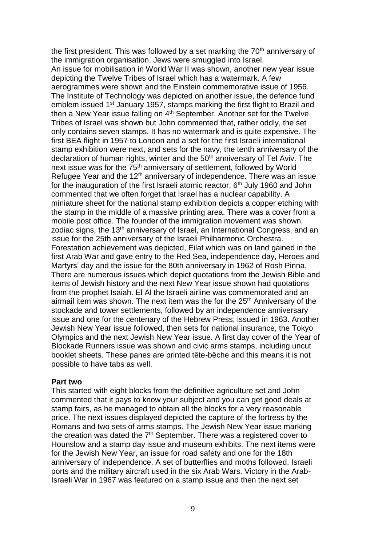the first president. This was followed by a set marking the  $70<sup>th</sup>$  anniversary of the immigration organisation. Jews were smuggled into Israel. An issue for mobilisation in World War II was shown, another new year issue depicting the Twelve Tribes of Israel which has a watermark. A few aerogrammes were shown and the Einstein commemorative issue of 1956. The Institute of Technology was depicted on another issue, the defence fund emblem issued 1<sup>st</sup> January 1957, stamps marking the first flight to Brazil and then a New Year issue falling on 4<sup>th</sup> September. Another set for the Twelve Tribes of Israel was shown but John commented that, rather oddly, the set only contains seven stamps. It has no watermark and is quite expensive. The first BEA flight in 1957 to London and a set for the first Israeli international stamp exhibition were next, and sets for the navy, the tenth anniversary of the declaration of human rights, winter and the 50<sup>th</sup> anniversary of Tel Aviv. The next issue was for the 75<sup>th</sup> anniversary of settlement, followed by World Refugee Year and the 12<sup>th</sup> anniversary of independence. There was an issue for the inauguration of the first Israeli atomic reactor,  $6<sup>th</sup>$  July 1960 and John commented that we often forget that Israel has a nuclear capability. A miniature sheet for the national stamp exhibition depicts a copper etching with the stamp in the middle of a massive printing area. There was a cover from a mobile post office. The founder of the immigration movement was shown, zodiac signs, the 13<sup>th</sup> anniversary of Israel, an International Congress, and an issue for the 25th anniversary of the Israeli Philharmonic Orchestra. Forestation achievement was depicted, Eilat which was on land gained in the first Arab War and gave entry to the Red Sea, independence day, Heroes and Martyrs' day and the issue for the 80th anniversary in 1962 of Rosh Pinna. There are numerous issues which depict quotations from the Jewish Bible and items of Jewish history and the next New Year issue shown had quotations from the prophet Isaiah. El Al the Israeli airline was commemorated and an airmail item was shown. The next item was the for the 25<sup>th</sup> Anniversary of the stockade and tower settlements, followed by an independence anniversary issue and one for the centenary of the Hebrew Press, issued in 1963. Another Jewish New Year issue followed, then sets for national insurance, the Tokyo Olympics and the next Jewish New Year issue. A first day cover of the Year of Blockade Runners issue was shown and civic arms stamps, including uncut booklet sheets. These panes are printed tête-bêche and this means it is not possible to have tabs as well.

#### **Part two**

This started with eight blocks from the definitive agriculture set and John commented that it pays to know your subject and you can get good deals at stamp fairs, as he managed to obtain all the blocks for a very reasonable price. The next issues displayed depicted the capture of the fortress by the Romans and two sets of arms stamps. The Jewish New Year issue marking the creation was dated the 7<sup>th</sup> September. There was a registered cover to Hounslow and a stamp day issue and museum exhibits. The next items were for the Jewish New Year, an issue for road safety and one for the 18th anniversary of independence. A set of butterflies and moths followed, Israeli ports and the military aircraft used in the six Arab Wars. Victory in the Arab-Israeli War in 1967 was featured on a stamp issue and then the next set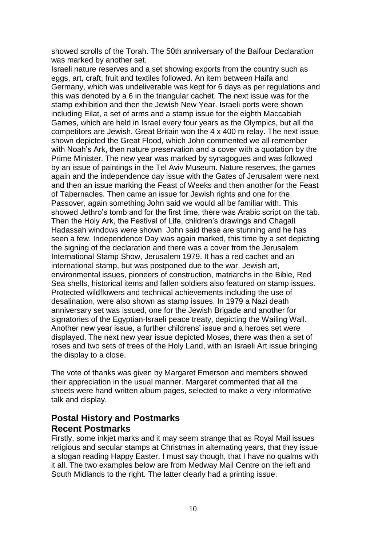showed scrolls of the Torah. The 50th anniversary of the Balfour Declaration was marked by another set.

Israeli nature reserves and a set showing exports from the country such as eggs, art, craft, fruit and textiles followed. An item between Haifa and Germany, which was undeliverable was kept for 6 days as per regulations and this was denoted by a 6 in the triangular cachet. The next issue was for the stamp exhibition and then the Jewish New Year. Israeli ports were shown including Eilat, a set of arms and a stamp issue for the eighth Maccabiah Games, which are held in Israel every four years as the Olympics, but all the competitors are Jewish. Great Britain won the 4 x 400 m relay. The next issue shown depicted the Great Flood, which John commented we all remember with Noah's Ark, then nature preservation and a cover with a quotation by the Prime Minister. The new year was marked by synagogues and was followed by an issue of paintings in the Tel Aviv Museum. Nature reserves, the games again and the independence day issue with the Gates of Jerusalem were next and then an issue marking the Feast of Weeks and then another for the Feast of Tabernacles. Then came an issue for Jewish rights and one for the Passover, again something John said we would all be familiar with. This showed Jethro's tomb and for the first time, there was Arabic script on the tab. Then the Holy Ark, the Festival of Life, children's drawings and Chagall Hadassah windows were shown. John said these are stunning and he has seen a few. Independence Day was again marked, this time by a set depicting the signing of the declaration and there was a cover from the Jerusalem International Stamp Show, Jerusalem 1979. It has a red cachet and an international stamp, but was postponed due to the war. Jewish art, environmental issues, pioneers of construction, matriarchs in the Bible, Red Sea shells, historical items and fallen soldiers also featured on stamp issues. Protected wildflowers and technical achievements including the use of desalination, were also shown as stamp issues. In 1979 a Nazi death anniversary set was issued, one for the Jewish Brigade and another for signatories of the Egyptian-Israeli peace treaty, depicting the Wailing Wall. Another new year issue, a further childrens' issue and a heroes set were displayed. The next new year issue depicted Moses, there was then a set of roses and two sets of trees of the Holy Land, with an Israeli Art issue bringing the display to a close.

The vote of thanks was given by Margaret Emerson and members showed their appreciation in the usual manner. Margaret commented that all the sheets were hand written album pages, selected to make a very informative talk and display.

# **Postal History and Postmarks Recent Postmarks**

Firstly, some inkjet marks and it may seem strange that as Royal Mail issues religious and secular stamps at Christmas in alternating years, that they issue a slogan reading Happy Easter. I must say though, that I have no qualms with it all. The two examples below are from Medway Mail Centre on the left and South Midlands to the right. The latter clearly had a printing issue.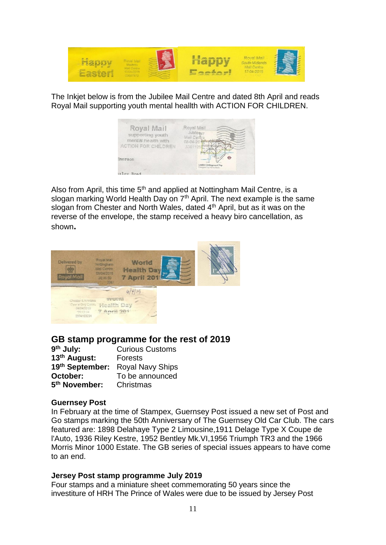

The Inkjet below is from the Jubilee Mail Centre and dated 8th April and reads Royal Mail supporting youth mental heallth with ACTION FOR CHILDREN.



Also from April, this time  $5<sup>th</sup>$  and applied at Nottingham Mail Centre, is a slogan marking World Health Day on 7<sup>th</sup> April. The next example is the same slogan from Chester and North Wales, dated 4<sup>th</sup> April, but as it was on the reverse of the envelope, the stamp received a heavy biro cancellation, as shown**.**



# **GB stamp programme for the rest of 2019**

| 9 <sup>th</sup> July:     | <b>Curious Customs</b>  |  |  |  |  |
|---------------------------|-------------------------|--|--|--|--|
| 13th August:              | <b>Forests</b>          |  |  |  |  |
| 19th September:           | <b>Royal Navy Ships</b> |  |  |  |  |
| October:                  | To be announced         |  |  |  |  |
| 5 <sup>th</sup> November: | Christmas               |  |  |  |  |

#### **Guernsey Post**

In February at the time of Stampex, Guernsey Post issued a new set of Post and Go stamps marking the 50th Anniversary of The Guernsey Old Car Club. The cars featured are: 1898 Delahaye Type 2 Limousine,1911 Delage Type X Coupe de l'Auto, 1936 Riley Kestre, 1952 Bentley Mk.VI,1956 Triumph TR3 and the 1966 Morris Minor 1000 Estate. The GB series of special issues appears to have come to an end.

#### **Jersey Post stamp programme July 2019**

Four stamps and a miniature sheet commemorating 50 years since the investiture of HRH The Prince of Wales were due to be issued by Jersey Post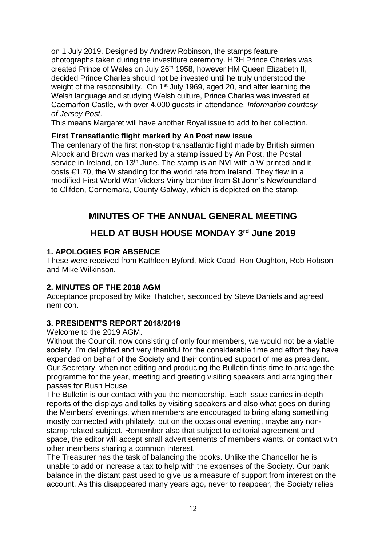on 1 July 2019. Designed by Andrew Robinson, the stamps feature photographs taken during the investiture ceremony. HRH Prince Charles was created Prince of Wales on July 26<sup>th</sup> 1958, however HM Queen Elizabeth II, decided Prince Charles should not be invested until he truly understood the weight of the responsibility. On 1<sup>st</sup> July 1969, aged 20, and after learning the Welsh language and studying Welsh culture, Prince Charles was invested at Caernarfon Castle, with over 4,000 guests in attendance. *Information courtesy of Jersey Post*.

This means Margaret will have another Royal issue to add to her collection.

#### **First Transatlantic flight marked by An Post new issue**

The centenary of the first non-stop transatlantic flight made by British airmen Alcock and Brown was marked by a stamp issued by An Post, the Postal service in Ireland, on 13<sup>th</sup> June. The stamp is an NVI with a W printed and it costs €1.70, the W standing for the world rate from Ireland. They flew in a modified First World War Vickers Vimy bomber from St John's Newfoundland to Clifden, Connemara, County Galway, which is depicted on the stamp.

# **MINUTES OF THE ANNUAL GENERAL MEETING**

# **HELD AT BUSH HOUSE MONDAY 3rd June 2019**

## **1. APOLOGIES FOR ABSENCE**

These were received from Kathleen Byford, Mick Coad, Ron Oughton, Rob Robson and Mike Wilkinson.

## **2. MINUTES OF THE 2018 AGM**

Acceptance proposed by Mike Thatcher, seconded by Steve Daniels and agreed nem con.

# **3. PRESIDENT'S REPORT 2018/2019**

Welcome to the 2019 AGM.

Without the Council, now consisting of only four members, we would not be a viable society. I'm delighted and very thankful for the considerable time and effort they have expended on behalf of the Society and their continued support of me as president. Our Secretary, when not editing and producing the Bulletin finds time to arrange the programme for the year, meeting and greeting visiting speakers and arranging their passes for Bush House.

The Bulletin is our contact with you the membership. Each issue carries in-depth reports of the displays and talks by visiting speakers and also what goes on during the Members' evenings, when members are encouraged to bring along something mostly connected with philately, but on the occasional evening, maybe any nonstamp related subject. Remember also that subject to editorial agreement and space, the editor will accept small advertisements of members wants, or contact with other members sharing a common interest.

The Treasurer has the task of balancing the books. Unlike the Chancellor he is unable to add or increase a tax to help with the expenses of the Society. Our bank balance in the distant past used to give us a measure of support from interest on the account. As this disappeared many years ago, never to reappear, the Society relies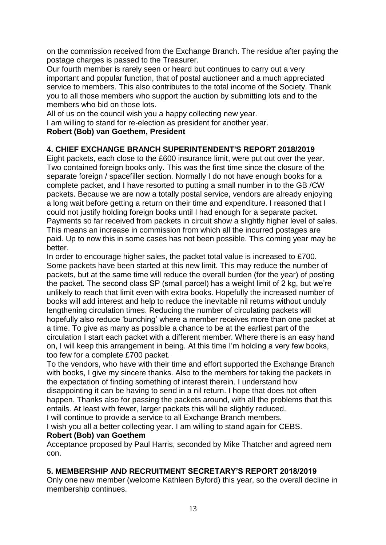on the commission received from the Exchange Branch. The residue after paying the postage charges is passed to the Treasurer.

Our fourth member is rarely seen or heard but continues to carry out a very important and popular function, that of postal auctioneer and a much appreciated service to members. This also contributes to the total income of the Society. Thank you to all those members who support the auction by submitting lots and to the members who bid on those lots.

All of us on the council wish you a happy collecting new year.

I am willing to stand for re-election as president for another year.

## **Robert (Bob) van Goethem, President**

# **4. CHIEF EXCHANGE BRANCH SUPERINTENDENT'S REPORT 2018/2019**

Eight packets, each close to the £600 insurance limit, were put out over the year. Two contained foreign books only. This was the first time since the closure of the separate foreign / spacefiller section. Normally I do not have enough books for a complete packet, and I have resorted to putting a small number in to the GB /CW packets. Because we are now a totally postal service, vendors are already enjoying a long wait before getting a return on their time and expenditure. I reasoned that I could not justify holding foreign books until I had enough for a separate packet. Payments so far received from packets in circuit show a slightly higher level of sales. This means an increase in commission from which all the incurred postages are paid. Up to now this in some cases has not been possible. This coming year may be better.

In order to encourage higher sales, the packet total value is increased to £700. Some packets have been started at this new limit. This may reduce the number of packets, but at the same time will reduce the overall burden (for the year) of posting the packet. The second class SP (small parcel) has a weight limit of 2 kg, but we're unlikely to reach that limit even with extra books. Hopefully the increased number of books will add interest and help to reduce the inevitable nil returns without unduly lengthening circulation times. Reducing the number of circulating packets will hopefully also reduce 'bunching' where a member receives more than one packet at a time. To give as many as possible a chance to be at the earliest part of the circulation I start each packet with a different member. Where there is an easy hand on, I will keep this arrangement in being. At this time I'm holding a very few books, too few for a complete £700 packet.

To the vendors, who have with their time and effort supported the Exchange Branch with books, I give my sincere thanks. Also to the members for taking the packets in the expectation of finding something of interest therein. I understand how disappointing it can be having to send in a nil return. I hope that does not often happen. Thanks also for passing the packets around, with all the problems that this entails. At least with fewer, larger packets this will be slightly reduced.

I will continue to provide a service to all Exchange Branch members.

I wish you all a better collecting year. I am willing to stand again for CEBS.

## **Robert (Bob) van Goethem**

Acceptance proposed by Paul Harris, seconded by Mike Thatcher and agreed nem con.

## **5. MEMBERSHIP AND RECRUITMENT SECRETARY'S REPORT 2018/2019**

Only one new member (welcome Kathleen Byford) this year, so the overall decline in membership continues.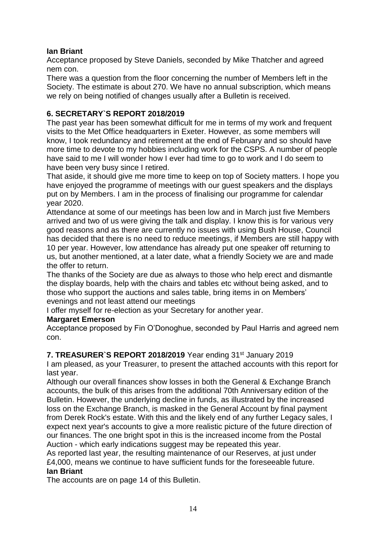## **Ian Briant**

Acceptance proposed by Steve Daniels, seconded by Mike Thatcher and agreed nem con.

There was a question from the floor concerning the number of Members left in the Society. The estimate is about 270. We have no annual subscription, which means we rely on being notified of changes usually after a Bulletin is received.

# **6. SECRETARY`S REPORT 2018/2019**

The past year has been somewhat difficult for me in terms of my work and frequent visits to the Met Office headquarters in Exeter. However, as some members will know, I took redundancy and retirement at the end of February and so should have more time to devote to my hobbies including work for the CSPS. A number of people have said to me I will wonder how I ever had time to go to work and I do seem to have been very busy since I retired.

That aside, it should give me more time to keep on top of Society matters. I hope you have enjoyed the programme of meetings with our guest speakers and the displays put on by Members. I am in the process of finalising our programme for calendar year 2020.

Attendance at some of our meetings has been low and in March just five Members arrived and two of us were giving the talk and display. I know this is for various very good reasons and as there are currently no issues with using Bush House, Council has decided that there is no need to reduce meetings, if Members are still happy with 10 per year. However, low attendance has already put one speaker off returning to us, but another mentioned, at a later date, what a friendly Society we are and made the offer to return.

The thanks of the Society are due as always to those who help erect and dismantle the display boards, help with the chairs and tables etc without being asked, and to those who support the auctions and sales table, bring items in on Members' evenings and not least attend our meetings

I offer myself for re-election as your Secretary for another year.

## **Margaret Emerson**

Acceptance proposed by Fin O'Donoghue, seconded by Paul Harris and agreed nem con.

## **7. TREASURER`S REPORT 2018/2019** Year ending 31st January 2019

I am pleased, as your Treasurer, to present the attached accounts with this report for last year.

Although our overall finances show losses in both the General & Exchange Branch accounts, the bulk of this arises from the additional 70th Anniversary edition of the Bulletin. However, the underlying decline in funds, as illustrated by the increased loss on the Exchange Branch, is masked in the General Account by final payment from Derek Rock's estate. With this and the likely end of any further Legacy sales, I expect next year's accounts to give a more realistic picture of the future direction of our finances. The one bright spot in this is the increased income from the Postal Auction - which early indications suggest may be repeated this year.

As reported last year, the resulting maintenance of our Reserves, at just under £4,000, means we continue to have sufficient funds for the foreseeable future. **Ian Briant**

The accounts are on page 14 of this Bulletin.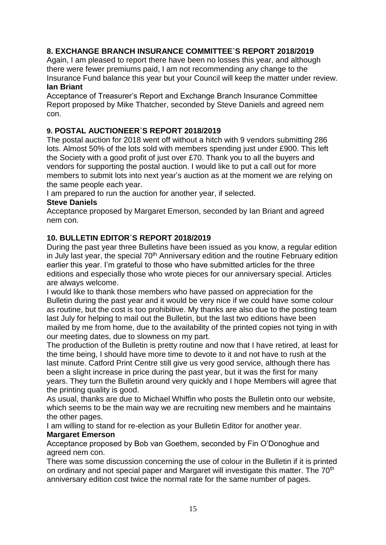# **8. EXCHANGE BRANCH INSURANCE COMMITTEE`S REPORT 2018/2019**

Again, I am pleased to report there have been no losses this year, and although there were fewer premiums paid, I am not recommending any change to the Insurance Fund balance this year but your Council will keep the matter under review.

#### **Ian Briant**

Acceptance of Treasurer's Report and Exchange Branch Insurance Committee Report proposed by Mike Thatcher, seconded by Steve Daniels and agreed nem con.

#### **9. POSTAL AUCTIONEER`S REPORT 2018/2019**

The postal auction for 2018 went off without a hitch with 9 vendors submitting 286 lots. Almost 50% of the lots sold with members spending just under £900. This left the Society with a good profit of just over £70. Thank you to all the buyers and vendors for supporting the postal auction. I would like to put a call out for more members to submit lots into next year's auction as at the moment we are relying on the same people each year.

I am prepared to run the auction for another year, if selected.

#### **Steve Daniels**

Acceptance proposed by Margaret Emerson, seconded by Ian Briant and agreed nem con.

#### **10. BULLETIN EDITOR`S REPORT 2018/2019**

During the past year three Bulletins have been issued as you know, a regular edition in July last year, the special  $70<sup>th</sup>$  Anniversary edition and the routine February edition earlier this year. I'm grateful to those who have submitted articles for the three editions and especially those who wrote pieces for our anniversary special. Articles are always welcome.

I would like to thank those members who have passed on appreciation for the Bulletin during the past year and it would be very nice if we could have some colour as routine, but the cost is too prohibitive. My thanks are also due to the posting team last July for helping to mail out the Bulletin, but the last two editions have been mailed by me from home, due to the availability of the printed copies not tying in with our meeting dates, due to slowness on my part.

The production of the Bulletin is pretty routine and now that I have retired, at least for the time being, I should have more time to devote to it and not have to rush at the last minute. Catford Print Centre still give us very good service, although there has been a slight increase in price during the past year, but it was the first for many years. They turn the Bulletin around very quickly and I hope Members will agree that the printing quality is good.

As usual, thanks are due to Michael Whiffin who posts the Bulletin onto our website, which seems to be the main way we are recruiting new members and he maintains the other pages.

I am willing to stand for re-election as your Bulletin Editor for another year.

#### **Margaret Emerson**

Acceptance proposed by Bob van Goethem, seconded by Fin O'Donoghue and agreed nem con.

There was some discussion concerning the use of colour in the Bulletin if it is printed on ordinary and not special paper and Margaret will investigate this matter. The 70<sup>th</sup> anniversary edition cost twice the normal rate for the same number of pages.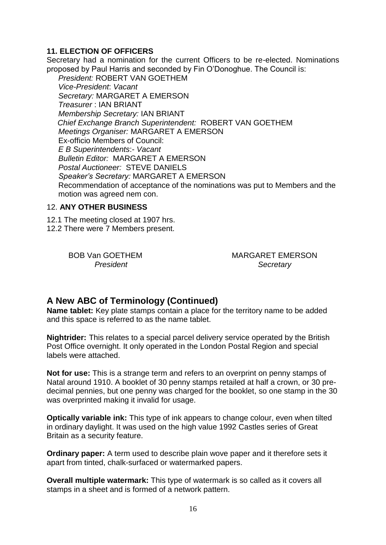## **11. ELECTION OF OFFICERS**

Secretary had a nomination for the current Officers to be re-elected. Nominations proposed by Paul Harris and seconded by Fin O'Donoghue. The Council is:

*President:* ROBERT VAN GOETHEM *Vice-President*: *Vacant Secretary:* MARGARET A EMERSON *Treasurer* : IAN BRIANT *Membership Secretary:* IAN BRIANT  *Chief Exchange Branch Superintendent:* ROBERT VAN GOETHEM *Meetings Organiser:* MARGARET A EMERSON Ex-officio Members of Council: *E B Superintendents*:- *Vacant Bulletin Editor:* MARGARET A EMERSON *Postal Auctioneer:* STEVE DANIELS *Speaker's Secretary:* MARGARET A EMERSON Recommendation of acceptance of the nominations was put to Members and the motion was agreed nem con.

#### 12. **ANY OTHER BUSINESS**

12.1 The meeting closed at 1907 hrs.

12.2 There were 7 Members present.

BOB Van GOETHEM MARGARET EMERSON *President Secretary*

# **A New ABC of Terminology (Continued)**

**Name tablet:** Key plate stamps contain a place for the territory name to be added and this space is referred to as the name tablet.

**Nightrider:** This relates to a special parcel delivery service operated by the British Post Office overnight. It only operated in the London Postal Region and special labels were attached.

**Not for use:** This is a strange term and refers to an overprint on penny stamps of Natal around 1910. A booklet of 30 penny stamps retailed at half a crown, or 30 predecimal pennies, but one penny was charged for the booklet, so one stamp in the 30 was overprinted making it invalid for usage.

**Optically variable ink:** This type of ink appears to change colour, even when tilted in ordinary daylight. It was used on the high value 1992 Castles series of Great Britain as a security feature.

**Ordinary paper:** A term used to describe plain wove paper and it therefore sets it apart from tinted, chalk-surfaced or watermarked papers.

**Overall multiple watermark:** This type of watermark is so called as it covers all stamps in a sheet and is formed of a network pattern.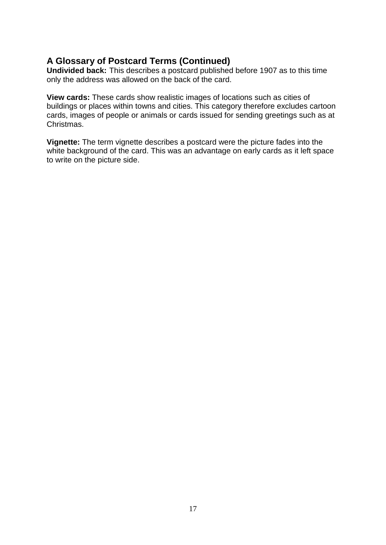# **A Glossary of Postcard Terms (Continued)**

**Undivided back:** This describes a postcard published before 1907 as to this time only the address was allowed on the back of the card.

**View cards:** These cards show realistic images of locations such as cities of buildings or places within towns and cities. This category therefore excludes cartoon cards, images of people or animals or cards issued for sending greetings such as at Christmas.

**Vignette:** The term vignette describes a postcard were the picture fades into the white background of the card. This was an advantage on early cards as it left space to write on the picture side.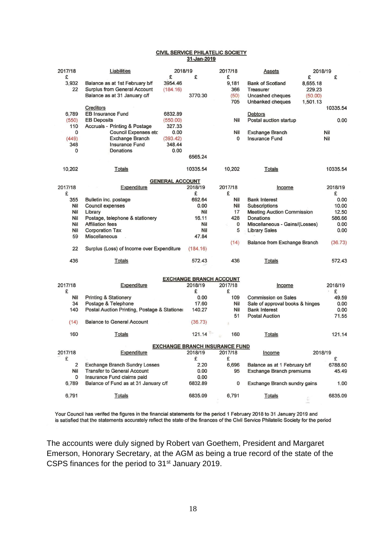#### **CIVIL SERVICE PHILATELIC SOCIETY** 31-Jan-2019

| 2017/18                               | Liabilities                                  | 2018/19  |          |  | 2017/18     | Assets                            | 2018/19  |          |  |
|---------------------------------------|----------------------------------------------|----------|----------|--|-------------|-----------------------------------|----------|----------|--|
| £                                     |                                              | £        | £        |  | £           |                                   | £        | £        |  |
| 3,932                                 | Balance as at 1st February b/f               | 3954.46  |          |  | 9,181       | <b>Bank of Scotland</b>           | 8,655.18 |          |  |
| 22                                    | <b>Surplus from General Account</b>          | (184.16) |          |  | 366         | Treasurer                         | 229.23   |          |  |
|                                       | Balance as at 31 January c/f                 |          | 3770.30  |  | (50)        | Uncashed cheques                  | (50.00)  |          |  |
|                                       |                                              |          |          |  | 705         | Unbanked cheques                  | 1,501.13 |          |  |
|                                       | Creditors                                    |          |          |  |             |                                   |          | 10335.54 |  |
| 6,789                                 | <b>EB Insurance Fund</b>                     | 6832.89  |          |  |             | <b>Debtors</b>                    |          |          |  |
| (550)                                 | <b>EB Deposits</b>                           | (550.00) |          |  | Nil         | Postal auction startup            |          | 0.00     |  |
| 110                                   | <b>Accruals - Printing &amp; Postage</b>     | 327.33   |          |  |             |                                   |          |          |  |
| 0                                     | <b>Council Expenses etc</b>                  | 0.00     |          |  | Nil         | <b>Exchange Branch</b>            |          | Nil      |  |
| (449)                                 | <b>Exchange Branch</b>                       | (393.42) |          |  | 0           | <b>Insurance Fund</b>             |          | Nil      |  |
| 348                                   | <b>Insurance Fund</b>                        | 348.44   |          |  |             |                                   |          |          |  |
| 0                                     | Donations                                    | 0.00     |          |  |             |                                   |          |          |  |
|                                       |                                              |          | 6565.24  |  |             |                                   |          |          |  |
| 10,202                                | <b>Totals</b>                                |          | 10335.54 |  | 10,202      | <b>Totals</b>                     |          | 10335.54 |  |
| <b>GENERAL ACCOUNT</b>                |                                              |          |          |  |             |                                   |          |          |  |
| 2017/18                               | Expenditure                                  |          | 2018/19  |  | 2017/18     | Income                            |          | 2018/19  |  |
| £                                     |                                              |          | £        |  | £           |                                   |          | £        |  |
| 355                                   | Bulletin inc. postage                        |          | 692.64   |  | Nil         | <b>Bank Interest</b>              |          | 0.00     |  |
| Nil                                   | <b>Council expenses</b>                      |          | 0.00     |  | Nil         | <b>Subscriptions</b>              |          | 10.00    |  |
| Nil                                   | Library                                      |          | Nil      |  | 17          | <b>Meeting Auction Commission</b> |          | 12.50    |  |
| Nil                                   | Postage, telephone & stationery              |          | 16.11    |  | 428         | Donations                         |          | 586.66   |  |
| Nil                                   | <b>Affiliation fees</b>                      |          | Nil      |  | $\mathbf 0$ | Miscellaneous - Gains/(Losses)    |          | 0.00     |  |
| Nil                                   | <b>Corporation Tax</b>                       |          | Nil      |  | 5           | <b>Library Sales</b>              |          | 0.00     |  |
| 59                                    | <b>Miscellaneous</b>                         |          | 47.84    |  |             |                                   |          |          |  |
|                                       |                                              |          |          |  | (14)        | Balance from Exchange Branch      |          | (36.73)  |  |
| 22                                    | Surplus (Loss) of Income over Expenditure    |          | (184.16) |  |             |                                   |          |          |  |
| 436                                   |                                              |          | 572.43   |  | 436         |                                   |          | 572.43   |  |
|                                       | Totals                                       |          |          |  |             | Totals                            |          |          |  |
| <b>EXCHANGE BRANCH ACCOUNT</b>        |                                              |          |          |  |             |                                   |          |          |  |
| 2017/18                               | Expenditure                                  |          | 2018/19  |  | 2017/18     | Income                            |          | 2018/19  |  |
| £                                     |                                              |          | £        |  | £           |                                   |          | £        |  |
| Nil                                   | <b>Printing &amp; Stationery</b>             |          | 0.00     |  | 109         | <b>Commission on Sales</b>        |          | 49.59    |  |
| 34                                    | Postage & Telephone                          |          | 17.60    |  | Nil         | Sale of approval books & hinges   |          | 0.00     |  |
| 140                                   | Postal Auction Printing, Postage & Stationer |          | 140.27   |  | Nil         | <b>Bank Interest</b>              |          | 0.00     |  |
|                                       |                                              |          |          |  | 51          | <b>Postal Auction</b>             |          | 71.55    |  |
| (14)                                  | <b>Balance to General Account</b>            |          | (36.73)  |  |             |                                   |          |          |  |
| 160                                   | <b>Totals</b>                                |          | 121.14   |  | 160         | Totals                            |          | 121.14   |  |
|                                       |                                              |          |          |  |             |                                   |          |          |  |
| <b>EXCHANGE BRANCH INSURANCE FUND</b> |                                              |          |          |  |             |                                   |          |          |  |
| 2017/18                               | Expenditure                                  |          | 2018/19  |  | 2017/18     | Income                            | 2018/19  |          |  |
| £                                     |                                              |          | £        |  | £           |                                   |          | £        |  |
| $\overline{2}$                        | <b>Exchange Branch Sundry Losses</b>         |          | 2.20     |  | 6.696       | Balance as at 1 February b/f      |          | 6788.60  |  |
| Nil                                   | <b>Transfer to General Account</b>           |          | 0.00     |  | 95          | Exchange Branch premiums          |          | 45.49    |  |
| 0                                     | Insurance Fund claims paid                   |          | 0.00     |  |             |                                   |          |          |  |
| 6,789                                 | Balance of Fund as at 31 January c/f         |          | 6832.89  |  | $\mathbf 0$ | Exchange Branch sundry gains      |          | 1.00     |  |
| 6,791                                 | <b>Totals</b>                                |          | 6835.09  |  | 6,791       | <b>Totals</b>                     |          | 6835.09  |  |
|                                       |                                              |          |          |  |             |                                   |          |          |  |

Your Council has verifed the figures in the financial statements for the period 1 February 2018 to 31 January 2019 and is satisfied that the statements accurately reflect the state of the finances of the Civil Service Philatelic Society for the period

The accounts were duly signed by Robert van Goethem, President and Margaret Emerson, Honorary Secretary, at the AGM as being a true record of the state of the CSPS finances for the period to 31<sup>st</sup> January 2019.